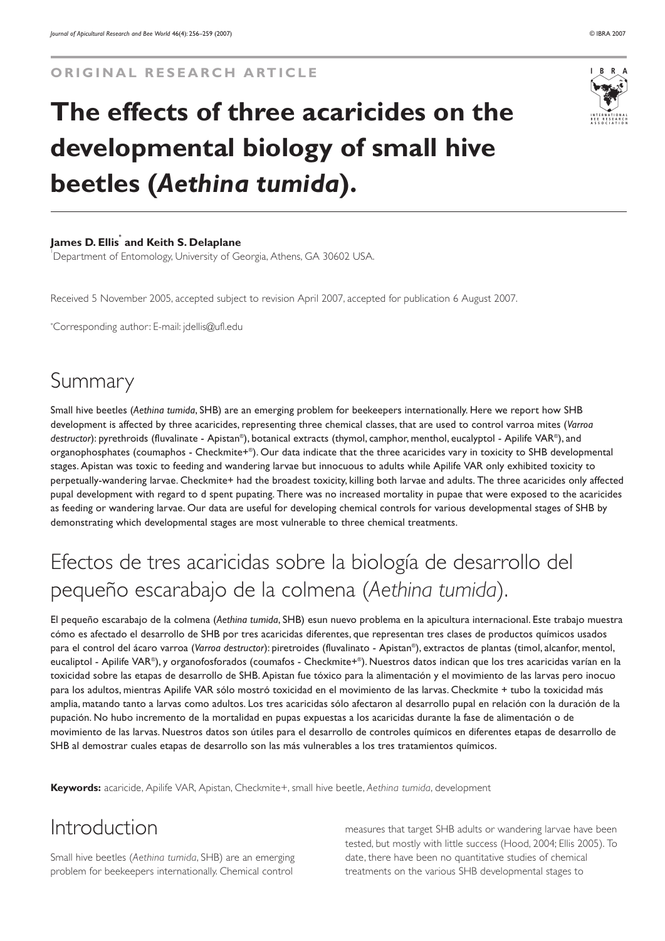#### **ORIGINAL RESEARCH ARTICLE**

# **The effects of three acaricides on the developmental biology of small hive beetles (***Aethina tumida***).**

#### **James D. Ellis\* and Keith S. Delaplane**

1 Department of Entomology, University of Georgia, Athens, GA 30602 USA.

Received 5 November 2005, accepted subject to revision April 2007, accepted for publication 6 August 2007.

\* Corresponding author: E-mail: jdellis@ufl.edu

### Summary

Small hive beetles (*Aethina tumida*, SHB) are an emerging problem for beekeepers internationally. Here we report how SHB development is affected by three acaricides, representing three chemical classes, that are used to control varroa mites (*Varroa destructor*): pyrethroids (fluvalinate - Apistan®), botanical extracts (thymol, camphor, menthol, eucalyptol - Apilife VAR®), and organophosphates (coumaphos - Checkmite+®). Our data indicate that the three acaricides vary in toxicity to SHB developmental stages. Apistan was toxic to feeding and wandering larvae but innocuous to adults while Apilife VAR only exhibited toxicity to perpetually-wandering larvae. Checkmite+ had the broadest toxicity, killing both larvae and adults. The three acaricides only affected pupal development with regard to d spent pupating. There was no increased mortality in pupae that were exposed to the acaricides as feeding or wandering larvae. Our data are useful for developing chemical controls for various developmental stages of SHB by demonstrating which developmental stages are most vulnerable to three chemical treatments.

## Efectos de tres acaricidas sobre la biología de desarrollo del pequeño escarabajo de la colmena (*Aethina tumida*).

El pequeño escarabajo de la colmena (*Aethina tumida*, SHB) esun nuevo problema en la apicultura internacional. Este trabajo muestra cómo es afectado el desarrollo de SHB por tres acaricidas diferentes, que representan tres clases de productos químicos usados para el control del ácaro varroa (*Varroa destructor*): piretroides (fluvalinato - Apistan®), extractos de plantas (timol, alcanfor, mentol, eucaliptol - Apilife VAR®), y organofosforados (coumafos - Checkmite+®). Nuestros datos indican que los tres acaricidas varían en la toxicidad sobre las etapas de desarrollo de SHB. Apistan fue tóxico para la alimentación y el movimiento de las larvas pero inocuo para los adultos, mientras Apilife VAR sólo mostró toxicidad en el movimiento de las larvas. Checkmite + tubo la toxicidad más amplia, matando tanto a larvas como adultos. Los tres acaricidas sólo afectaron al desarrollo pupal en relación con la duración de la pupación. No hubo incremento de la mortalidad en pupas expuestas a los acaricidas durante la fase de alimentación o de movimiento de las larvas. Nuestros datos son útiles para el desarrollo de controles químicos en diferentes etapas de desarrollo de SHB al demostrar cuales etapas de desarrollo son las más vulnerables a los tres tratamientos químicos.

**Keywords:** acaricide, Apilife VAR, Apistan, Checkmite+, small hive beetle, *Aethina tumida*, development

#### Introduction

Small hive beetles (*Aethina tumida*, SHB) are an emerging problem for beekeepers internationally. Chemical control

measures that target SHB adults or wandering larvae have been tested, but mostly with little success (Hood, 2004; Ellis 2005). To date, there have been no quantitative studies of chemical treatments on the various SHB developmental stages to

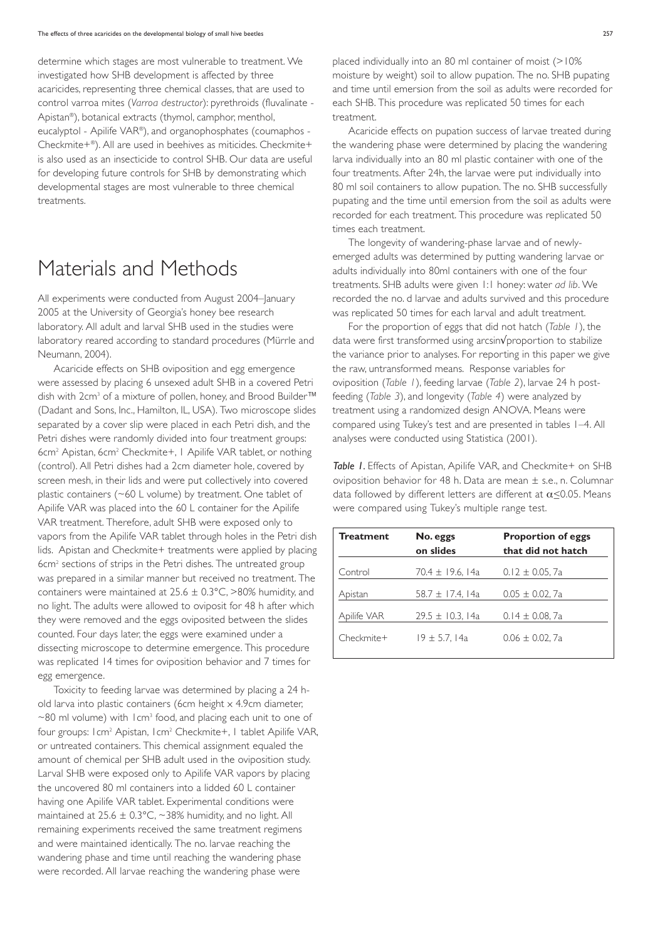determine which stages are most vulnerable to treatment. We investigated how SHB development is affected by three acaricides, representing three chemical classes, that are used to control varroa mites (*Varroa destructor*): pyrethroids (fluvalinate - Apistan®), botanical extracts (thymol, camphor, menthol, eucalyptol - Apilife VAR®), and organophosphates (coumaphos - Checkmite+®). All are used in beehives as miticides. Checkmite+ is also used as an insecticide to control SHB. Our data are useful for developing future controls for SHB by demonstrating which developmental stages are most vulnerable to three chemical treatments.

### Materials and Methods

All experiments were conducted from August 2004–January 2005 at the University of Georgia's honey bee research laboratory. All adult and larval SHB used in the studies were laboratory reared according to standard procedures (Mürrle and Neumann, 2004).

Acaricide effects on SHB oviposition and egg emergence were assessed by placing 6 unsexed adult SHB in a covered Petri dish with 2cm<sup>3</sup> of a mixture of pollen, honey, and Brood Builder™ (Dadant and Sons, Inc., Hamilton, IL, USA). Two microscope slides separated by a cover slip were placed in each Petri dish, and the Petri dishes were randomly divided into four treatment groups: 6cm2 Apistan, 6cm2 Checkmite+, 1 Apilife VAR tablet, or nothing (control). All Petri dishes had a 2cm diameter hole, covered by screen mesh, in their lids and were put collectively into covered plastic containers (~60 L volume) by treatment. One tablet of Apilife VAR was placed into the 60 L container for the Apilife VAR treatment. Therefore, adult SHB were exposed only to vapors from the Apilife VAR tablet through holes in the Petri dish lids. Apistan and Checkmite+ treatments were applied by placing 6cm2 sections of strips in the Petri dishes. The untreated group was prepared in a similar manner but received no treatment. The containers were maintained at  $25.6 \pm 0.3$ °C, >80% humidity, and no light. The adults were allowed to oviposit for 48 h after which they were removed and the eggs oviposited between the slides counted. Four days later, the eggs were examined under a dissecting microscope to determine emergence. This procedure was replicated 14 times for oviposition behavior and 7 times for egg emergence.

Toxicity to feeding larvae was determined by placing a 24 hold larva into plastic containers (6cm height x 4.9cm diameter,  $\sim$ 80 ml volume) with 1cm<sup>3</sup> food, and placing each unit to one of four groups: 1cm2 Apistan, 1cm2 Checkmite+, 1 tablet Apilife VAR, or untreated containers. This chemical assignment equaled the amount of chemical per SHB adult used in the oviposition study. Larval SHB were exposed only to Apilife VAR vapors by placing the uncovered 80 ml containers into a lidded 60 L container having one Apilife VAR tablet. Experimental conditions were maintained at  $25.6 \pm 0.3$ °C, ~38% humidity, and no light. All remaining experiments received the same treatment regimens and were maintained identically. The no. larvae reaching the wandering phase and time until reaching the wandering phase were recorded. All larvae reaching the wandering phase were

placed individually into an 80 ml container of moist (>10% moisture by weight) soil to allow pupation. The no. SHB pupating and time until emersion from the soil as adults were recorded for each SHB. This procedure was replicated 50 times for each treatment.

Acaricide effects on pupation success of larvae treated during the wandering phase were determined by placing the wandering larva individually into an 80 ml plastic container with one of the four treatments. After 24h, the larvae were put individually into 80 ml soil containers to allow pupation. The no. SHB successfully pupating and the time until emersion from the soil as adults were recorded for each treatment. This procedure was replicated 50 times each treatment.

The longevity of wandering-phase larvae and of newlyemerged adults was determined by putting wandering larvae or adults individually into 80ml containers with one of the four treatments. SHB adults were given 1:1 honey: water *ad lib*. We recorded the no. d larvae and adults survived and this procedure was replicated 50 times for each larval and adult treatment.

For the proportion of eggs that did not hatch (*Table 1*), the data were first transformed using arcsin√proportion to stabilize the variance prior to analyses. For reporting in this paper we give the raw, untransformed means. Response variables for oviposition (*Table 1*), feeding larvae (*Table 2*), larvae 24 h postfeeding (*Table 3*), and longevity (*Table 4*) were analyzed by treatment using a randomized design ANOVA. Means were compared using Tukey's test and are presented in tables 1–4. All analyses were conducted using Statistica (2001).

**Table 1.** Effects of Apistan, Apilife VAR, and Checkmite+ on SHB oviposition behavior for 48 h. Data are mean ± s.e., n. Columnar data followed by different letters are different at  $\alpha \leq 0.05$ . Means were compared using Tukey's multiple range test.

| <b>Treatment</b> | No. eggs<br>on slides | <b>Proportion of eggs</b><br>that did not hatch |
|------------------|-----------------------|-------------------------------------------------|
| Control          | 70.4 ± 19.6, 14a      | $0.12 \pm 0.05$ , 7a                            |
| Apistan          | 58.7 ± 17.4, 14a      | $0.05 \pm 0.02$ . 7a                            |
| Apilife VAR      | $29.5 \pm 10.3$ , 14a | $0.14 \pm 0.08$ , 7a                            |
| Checkmite+       | 19 ± 5.7, 14a         | $0.06 \pm 0.02$ . 7a                            |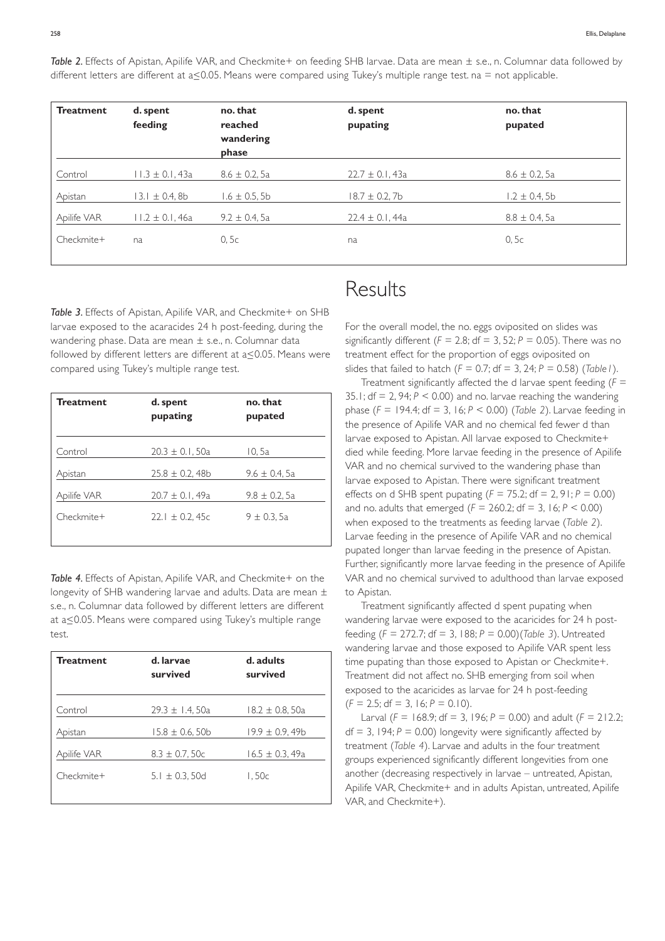*Table 2.* Effects of Apistan, Apilife VAR, and Checkmite+ on feeding SHB larvae. Data are mean ± s.e., n. Columnar data followed by different letters are different at  $a \le 0.05$ . Means were compared using Tukey's multiple range test. na = not applicable.

| <b>Treatment</b> | d. spent<br>feeding | no. that<br>reached<br>wandering<br>phase | d. spent<br>pupating | no. that<br>pupated |
|------------------|---------------------|-------------------------------------------|----------------------|---------------------|
| Control          | I I.3 ± 0.I, 43a    | $8.6 \pm 0.2, 5a$                         | $22.7 \pm 0.1,43a$   | $8.6 \pm 0.2, 5a$   |
| Apistan          | 13.1 ± 0.4,8b       | $1.6 \pm 0.5, 5b$                         | $18.7 \pm 0.2, 7b$   | $1.2 \pm 0.4, 5b$   |
| Apilife VAR      | $11.2 \pm 0.1,46a$  | $9.2 \pm 0.4$ , 5a                        | $22.4 \pm 0.1,44a$   | $8.8 \pm 0.4$ , 5a  |
| Checkmite+       | na                  | 0, 5c                                     | na                   | 0, 5c               |

Table 3. Effects of Apistan, Apilife VAR, and Checkmite+ on SHB larvae exposed to the acaracides 24 h post-feeding, during the wandering phase. Data are mean ± s.e., n. Columnar data followed by different letters are different at  $a$ <0.05. Means were compared using Tukey's multiple range test.

| <b>Treatment</b> | d. spent<br>pupating | no. that<br>pupated |
|------------------|----------------------|---------------------|
| Control          | $20.3 \pm 0.1, 50a$  | 10, 5a              |
| Apistan          | $25.8 \pm 0.2,48b$   | $9.6 \pm 0.4$ , 5a  |
| Apilife VAR      | $20.7 \pm 0.1,49a$   | $9.8 \pm 0.2, 5a$   |
| Checkmite+       | 22.1 $\pm$ 0.2, 45c  | $9 \pm 0.3$ , 5a    |

*Table 4.* Effects of Apistan, Apilife VAR, and Checkmite+ on the longevity of SHB wandering larvae and adults. Data are mean ± s.e., n. Columnar data followed by different letters are different at  $a \leq 0.05$ . Means were compared using Tukey's multiple range test.

| <b>Treatment</b> | d. larvae<br>survived | d. adults<br>survived |
|------------------|-----------------------|-----------------------|
| Control          | $29.3 \pm 1.4,50a$    | $18.2 \pm 0.8, 50a$   |
| Apistan          | $15.8 \pm 0.6, 50b$   | $19.9 \pm 0.9,49b$    |
| Apilife VAR      | $8.3 \pm 0.7, 50c$    | $16.5 \pm 0.3,49a$    |
| Checkmite+       | $5.1 \pm 0.3, 50d$    | 1,50c                 |
|                  |                       |                       |

#### Results

For the overall model, the no. eggs oviposited on slides was significantly different ( $F = 2.8$ ; df = 3, 52;  $P = 0.05$ ). There was no treatment effect for the proportion of eggs oviposited on slides that failed to hatch (*F* = 0.7; df = 3, 24; *P* = 0.58) (*Table1*).

Treatment significantly affected the d larvae spent feeding (*F* = 35.1; df = 2, 94; *P* < 0.00) and no. larvae reaching the wandering phase (*F* = 194.4; df = 3, 16; *P* < 0.00) (*Table 2*). Larvae feeding in the presence of Apilife VAR and no chemical fed fewer d than larvae exposed to Apistan. All larvae exposed to Checkmite+ died while feeding. More larvae feeding in the presence of Apilife VAR and no chemical survived to the wandering phase than larvae exposed to Apistan. There were significant treatment effects on d SHB spent pupating (*F* = 75.2; df = 2, 91; *P* = 0.00) and no. adults that emerged  $(F = 260.2; df = 3, 16; P < 0.00)$ when exposed to the treatments as feeding larvae (*Table 2*). Larvae feeding in the presence of Apilife VAR and no chemical pupated longer than larvae feeding in the presence of Apistan. Further, significantly more larvae feeding in the presence of Apilife VAR and no chemical survived to adulthood than larvae exposed to Apistan.

Treatment significantly affected d spent pupating when wandering larvae were exposed to the acaricides for 24 h postfeeding (*F* = 272.7; df = 3, 188; *P* = 0.00)(*Table 3*). Untreated wandering larvae and those exposed to Apilife VAR spent less time pupating than those exposed to Apistan or Checkmite+. Treatment did not affect no. SHB emerging from soil when exposed to the acaricides as larvae for 24 h post-feeding  $(F = 2.5; df = 3, 16; P = 0.10).$ 

Larval ( $F = 168.9$ ; df = 3, 196;  $P = 0.00$ ) and adult ( $F = 212.2$ ;  $df = 3$ , 194;  $P = 0.00$ ) longevity were significantly affected by treatment (*Table 4*). Larvae and adults in the four treatment groups experienced significantly different longevities from one another (decreasing respectively in larvae – untreated, Apistan, Apilife VAR, Checkmite+ and in adults Apistan, untreated, Apilife VAR, and Checkmite+).